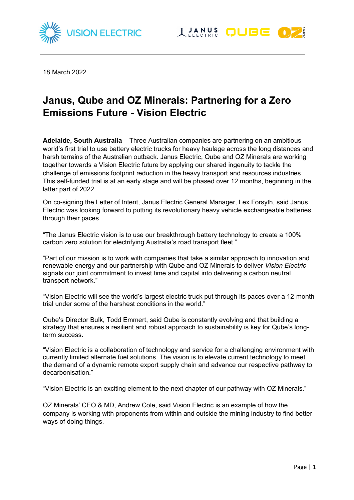



18 March 2022

# **Janus, Qube and OZ Minerals: Partnering for a Zero Emissions Future - Vision Electric**

**Adelaide, South Australia** – Three Australian companies are partnering on an ambitious world's first trial to use battery electric trucks for heavy haulage across the long distances and harsh terrains of the Australian outback. Janus Electric, Qube and OZ Minerals are working together towards a Vision Electric future by applying our shared ingenuity to tackle the challenge of emissions footprint reduction in the heavy transport and resources industries. This self-funded trial is at an early stage and will be phased over 12 months, beginning in the latter part of 2022.

On co-signing the Letter of Intent, Janus Electric General Manager, Lex Forsyth, said Janus Electric was looking forward to putting its revolutionary heavy vehicle exchangeable batteries through their paces.

"The Janus Electric vision is to use our breakthrough battery technology to create a 100% carbon zero solution for electrifying Australia's road transport fleet."

"Part of our mission is to work with companies that take a similar approach to innovation and renewable energy and our partnership with Qube and OZ Minerals to deliver *Vision Electric* signals our joint commitment to invest time and capital into delivering a carbon neutral transport network."

"Vision Electric will see the world's largest electric truck put through its paces over a 12-month trial under some of the harshest conditions in the world."

Qube's Director Bulk, Todd Emmert, said Qube is constantly evolving and that building a strategy that ensures a resilient and robust approach to sustainability is key for Qube's longterm success.

"Vision Electric is a collaboration of technology and service for a challenging environment with currently limited alternate fuel solutions. The vision is to elevate current technology to meet the demand of a dynamic remote export supply chain and advance our respective pathway to decarbonisation."

"Vision Electric is an exciting element to the next chapter of our pathway with OZ Minerals."

OZ Minerals' CEO & MD, Andrew Cole, said Vision Electric is an example of how the company is working with proponents from within and outside the mining industry to find better ways of doing things.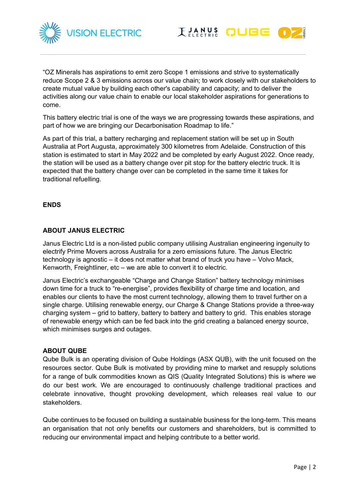



"OZ Minerals has aspirations to emit zero Scope 1 emissions and strive to systematically reduce Scope 2 & 3 emissions across our value chain; to work closely with our stakeholders to create mutual value by building each other's capability and capacity; and to deliver the activities along our value chain to enable our local stakeholder aspirations for generations to come.

This battery electric trial is one of the ways we are progressing towards these aspirations, and part of how we are bringing our Decarbonisation Roadmap to life."

As part of this trial, a battery recharging and replacement station will be set up in South Australia at Port Augusta, approximately 300 kilometres from Adelaide. Construction of this station is estimated to start in May 2022 and be completed by early August 2022. Once ready, the station will be used as a battery change over pit stop for the battery electric truck. It is expected that the battery change over can be completed in the same time it takes for traditional refuelling.

## **ENDS**

# **ABOUT JANUS ELECTRIC**

Janus Electric Ltd is a non-listed public company utilising Australian engineering ingenuity to electrify Prime Movers across Australia for a zero emissions future. The Janus Electric technology is agnostic – it does not matter what brand of truck you have – Volvo Mack, Kenworth, Freightliner, etc – we are able to convert it to electric.

Janus Electric's exchangeable "Charge and Change Station" battery technology minimises down time for a truck to "re-energise", provides flexibility of charge time and location, and enables our clients to have the most current technology, allowing them to travel further on a single charge. Utilising renewable energy, our Charge & Change Stations provide a three-way charging system – grid to battery, battery to battery and battery to grid. This enables storage of renewable energy which can be fed back into the grid creating a balanced energy source, which minimises surges and outages.

#### **ABOUT QUBE**

Qube Bulk is an operating division of Qube Holdings (ASX QUB), with the unit focused on the resources sector. Qube Bulk is motivated by providing mine to market and resupply solutions for a range of bulk commodities known as QIS (Quality Integrated Solutions) this is where we do our best work. We are encouraged to continuously challenge traditional practices and celebrate innovative, thought provoking development, which releases real value to our stakeholders.

Qube continues to be focused on building a sustainable business for the long-term. This means an organisation that not only benefits our customers and shareholders, but is committed to reducing our environmental impact and helping contribute to a better world.